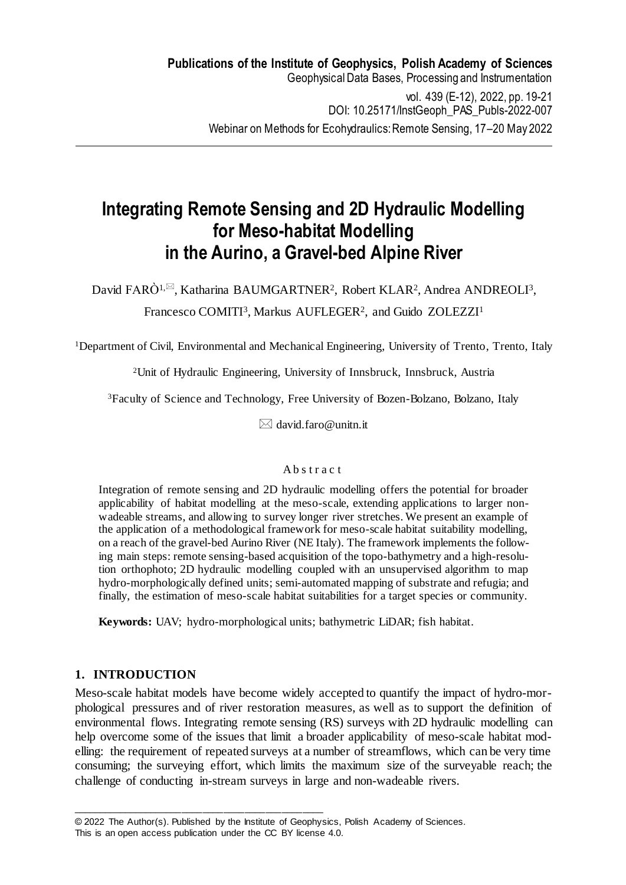# **Integrating Remote Sensing and 2D Hydraulic Modelling for Meso-habitat Modelling in the Aurino, a Gravel-bed Alpine River**

David FARÒ<sup>1,⊠</sup>, Katharina BAUMGARTNER<sup>2</sup>, Robert KLAR<sup>2</sup>, Andrea ANDREOLI<sup>3</sup>,

# Francesco COMITI<sup>3</sup>, Markus AUFLEGER<sup>2</sup>, and Guido ZOLEZZI<sup>1</sup>

<sup>1</sup>Department of Civil, Environmental and Mechanical Engineering, University of Trento, Trento, Italy

<sup>2</sup>Unit of Hydraulic Engineering, University of Innsbruck, Innsbruck, Austria

<sup>3</sup>Faculty of Science and Technology, Free University of Bozen-Bolzano, Bolzano, Italy

 $\boxtimes$  david.faro@unitn.it

## Ab s t r a c t

Integration of remote sensing and 2D hydraulic modelling offers the potential for broader applicability of habitat modelling at the meso-scale, extending applications to larger nonwadeable streams, and allowing to survey longer river stretches. We present an example of the application of a methodological framework for meso-scale habitat suitability modelling, on a reach of the gravel-bed Aurino River (NE Italy). The framework implements the following main steps: remote sensing-based acquisition of the topo-bathymetry and a high-resolution orthophoto; 2D hydraulic modelling coupled with an unsupervised algorithm to map hydro-morphologically defined units; semi-automated mapping of substrate and refugia; and finally, the estimation of meso-scale habitat suitabilities for a target species or community.

**Keywords:** UAV; hydro-morphological units; bathymetric LiDAR; fish habitat.

# **1. INTRODUCTION**

Meso-scale habitat models have become widely accepted to quantify the impact of hydro-morphological pressures and of river restoration measures, as well as to support the definition of environmental flows. Integrating remote sensing (RS) surveys with 2D hydraulic modelling can help overcome some of the issues that limit a broader applicability of meso-scale habitat modelling: the requirement of repeated surveys at a number of streamflows, which can be very time consuming; the surveying effort, which limits the maximum size of the surveyable reach; the challenge of conducting in-stream surveys in large and non-wadeable rivers.

\_\_\_\_\_\_\_\_\_\_\_\_\_\_\_\_\_\_\_\_\_\_\_\_\_\_\_\_\_\_\_\_\_\_\_\_\_\_\_\_\_\_\_\_\_\_\_\_

<sup>© 2022</sup> The Author(s). Published by the Institute of Geophysics, Polish Academy of Sciences.

This is an open access publication under the CC BY license 4.0.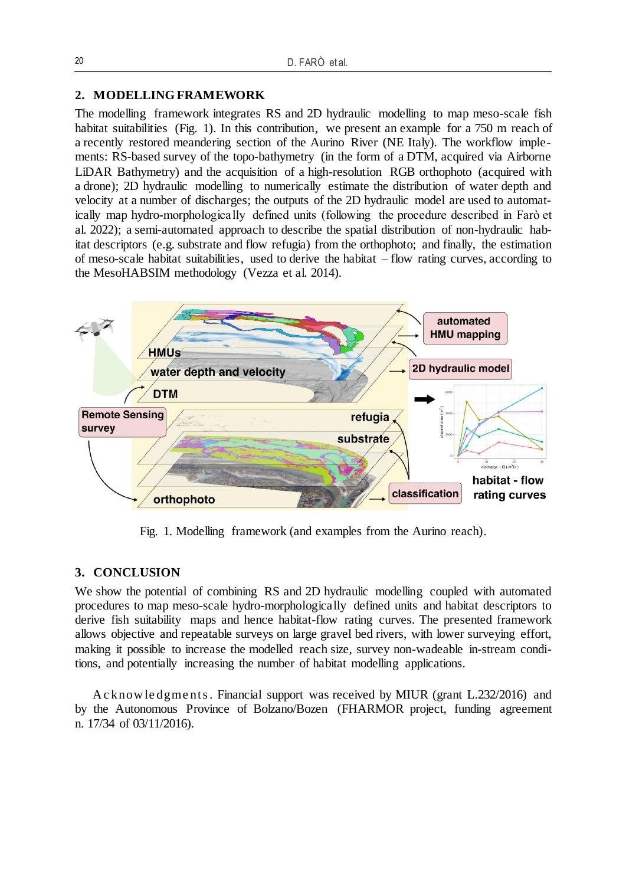#### **2. MODELLING FRAMEWORK**

The modelling framework integrates RS and 2D hydraulic modelling to map meso-scale fish habitat suitabilities (Fig. 1). In this contribution, we present an example for a 750 m reach of a recently restored meandering section of the Aurino River (NE Italy). The workflow implements: RS-based survey of the topo-bathymetry (in the form of a DTM, acquired via Airborne LiDAR Bathymetry) and the acquisition of a high-resolution RGB orthophoto (acquired with a drone); 2D hydraulic modelling to numerically estimate the distribution of water depth and velocity at a number of discharges; the outputs of the 2D hydraulic model are used to automatically map hydro-morphologically defined units (following the procedure described in Farò et al. 2022); a semi-automated approach to describe the spatial distribution of non-hydraulic habitat descriptors (e.g. substrate and flow refugia) from the orthophoto; and finally, the estimation of meso-scale habitat suitabilities, used to derive the habitat – flow rating curves, according to the MesoHABSIM methodology (Vezza et al. 2014).



Fig. 1. Modelling framework (and examples from the Aurino reach).

## **3. CONCLUSION**

We show the potential of combining RS and 2D hydraulic modelling coupled with automated procedures to map meso-scale hydro-morphologically defined units and habitat descriptors to derive fish suitability maps and hence habitat-flow rating curves. The presented framework allows objective and repeatable surveys on large gravel bed rivers, with lower surveying effort, making it possible to increase the modelled reach size, survey non-wadeable in-stream conditions, and potentially increasing the number of habitat modelling applications.

A c know le dgme nts . Financial support was received by MIUR (grant L.232/2016) and by the Autonomous Province of Bolzano/Bozen (FHARMOR project, funding agreement n. 17/34 of 03/11/2016).